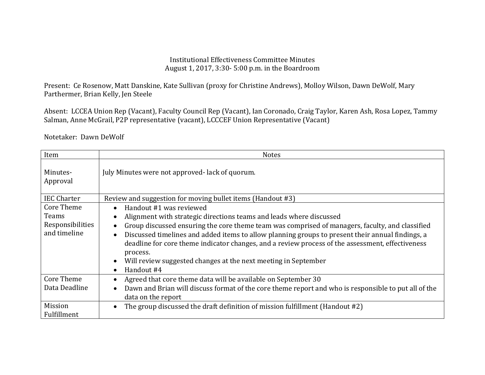## Institutional Effectiveness Committee Minutes August 1, 2017, 3:30- 5:00 p.m. in the Boardroom

Present: Ce Rosenow, Matt Danskine, Kate Sullivan (proxy for Christine Andrews), Molloy Wilson, Dawn DeWolf, Mary Parthermer, Brian Kelly, Jen Steele

Absent: LCCEA Union Rep (Vacant), Faculty Council Rep (Vacant), Ian Coronado, Craig Taylor, Karen Ash, Rosa Lopez, Tammy Salman, Anne McGrail, P2P representative (vacant), LCCCEF Union Representative (Vacant)

Notetaker: Dawn DeWolf

| Item                   | <b>Notes</b>                                                                                                                                                                                                     |
|------------------------|------------------------------------------------------------------------------------------------------------------------------------------------------------------------------------------------------------------|
| Minutes-<br>Approval   | July Minutes were not approved-lack of quorum.                                                                                                                                                                   |
| <b>IEC Charter</b>     | Review and suggestion for moving bullet items (Handout #3)                                                                                                                                                       |
| <b>Core Theme</b>      | Handout #1 was reviewed                                                                                                                                                                                          |
| Teams                  | Alignment with strategic directions teams and leads where discussed                                                                                                                                              |
| Responsibilities       | Group discussed ensuring the core theme team was comprised of managers, faculty, and classified                                                                                                                  |
| and timeline           | Discussed timelines and added items to allow planning groups to present their annual findings, a<br>deadline for core theme indicator changes, and a review process of the assessment, effectiveness<br>process. |
|                        | Will review suggested changes at the next meeting in September                                                                                                                                                   |
|                        | Handout #4                                                                                                                                                                                                       |
| <b>Core Theme</b>      | Agreed that core theme data will be available on September 30                                                                                                                                                    |
| Data Deadline          | Dawn and Brian will discuss format of the core theme report and who is responsible to put all of the<br>data on the report                                                                                       |
| Mission<br>Fulfillment | The group discussed the draft definition of mission fulfillment (Handout #2)                                                                                                                                     |